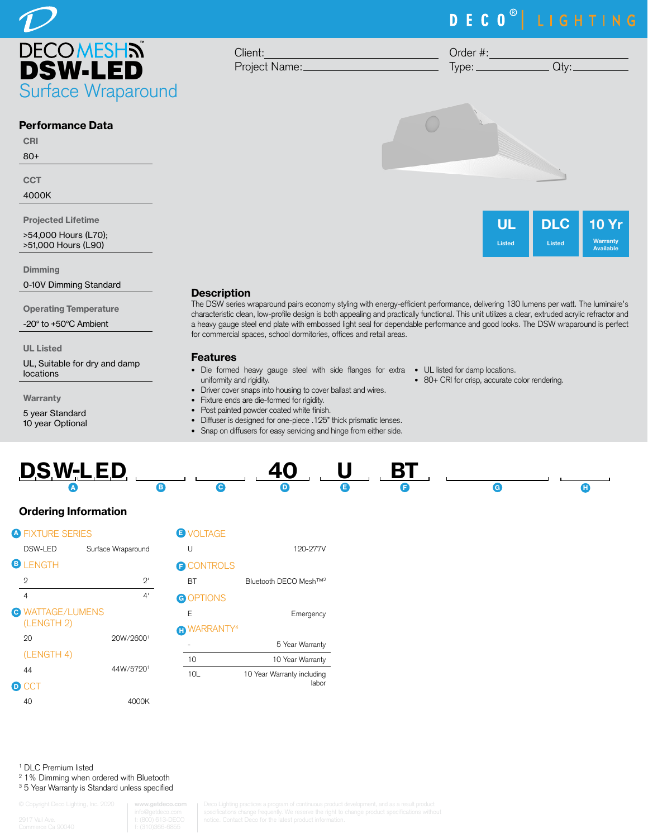

#### Performance Data

CRI 80+

**CCT** 

4000K

Projected Lifetime

>54,000 Hours (L70); >51,000 Hours (L90)

Dimming

0-10V Dimming Standard

Operating Temperature

-20° to +50°C Ambient

UL Listed

UL, Suitable for dry and damp locations

Warranty

5 year Standard 10 year Optional

# **Description**

The DSW series wraparound pairs economy styling with energy-efficient performance, delivering 130 lumens per watt. The luminaire's characteristic clean, low-profile design is both appealing and practically functional. This unit utilizes a clear, extruded acrylic refractor and a heavy gauge steel end plate with embossed light seal for dependable performance and good looks. The DSW wraparound is perfect for commercial spaces, school dormitories, offices and retail areas.

### Features

- Die formed heavy gauge steel with side flanges for extra UL listed for damp locations. uniformity and rigidity.
- Driver cover snaps into housing to cover ballast and wires.
- Fixture ends are die-formed for rigidity.

Client:

Project Name:

- Post painted powder coated white finish.
- Diffuser is designed for one-piece .125" thick prismatic lenses.





1 DLC Premium listed

- 2 1% Dimming when ordered with Bluetooth
- <sup>3</sup> 5 Year Warranty is Standard unless specified

**www.getdeco.com**

# DECO<sup>®</sup> LIGHTING

Order #:  $Type:$   $Qty:$ 



• 80+ CRI for crisp, accurate color rendering.